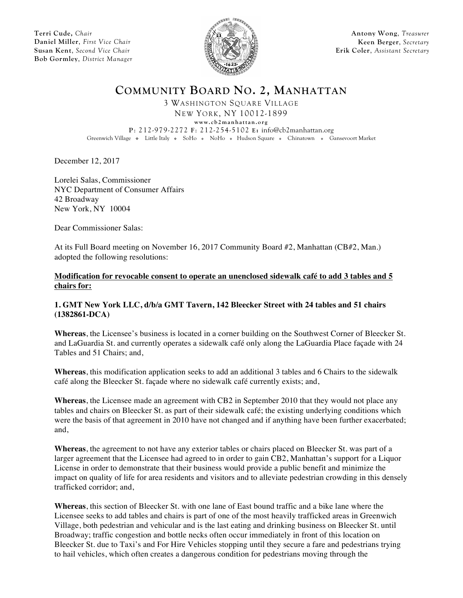**Terri Cude,** *Chair* **Daniel Miller**, *First Vice Chair* **Susan Kent**, *Second Vice Chair* **Bob Gormley**, *District Manager*



**Antony Wong**, *Treasurer* **Keen Berger**, *Secretary* **Erik Coler**, *Assistant Secretary*

**COMMUNITY BOARD NO. 2, MANHATTAN**

3 WASHINGTON SQUARE VILLAGE NEW YORK, NY 10012-1899

**www.cb2manhattan.org**

**P**: 212-979-2272 **F**: 212-254-5102 **E:** info@cb2manhattan.org

Greenwich Village • Little Italy • SoHo • NoHo • Hudson Square • Chinatown • Gansevoort Market

December 12, 2017

Lorelei Salas, Commissioner NYC Department of Consumer Affairs 42 Broadway New York, NY 10004

Dear Commissioner Salas:

At its Full Board meeting on November 16, 2017 Community Board #2, Manhattan (CB#2, Man.) adopted the following resolutions:

**Modification for revocable consent to operate an unenclosed sidewalk café to add 3 tables and 5 chairs for:**

### **1. GMT New York LLC, d/b/a GMT Tavern, 142 Bleecker Street with 24 tables and 51 chairs (1382861-DCA)**

**Whereas**, the Licensee's business is located in a corner building on the Southwest Corner of Bleecker St. and LaGuardia St. and currently operates a sidewalk café only along the LaGuardia Place façade with 24 Tables and 51 Chairs; and,

**Whereas**, this modification application seeks to add an additional 3 tables and 6 Chairs to the sidewalk café along the Bleecker St. façade where no sidewalk café currently exists; and,

**Whereas**, the Licensee made an agreement with CB2 in September 2010 that they would not place any tables and chairs on Bleecker St. as part of their sidewalk café; the existing underlying conditions which were the basis of that agreement in 2010 have not changed and if anything have been further exacerbated; and,

**Whereas**, the agreement to not have any exterior tables or chairs placed on Bleecker St. was part of a larger agreement that the Licensee had agreed to in order to gain CB2, Manhattan's support for a Liquor License in order to demonstrate that their business would provide a public benefit and minimize the impact on quality of life for area residents and visitors and to alleviate pedestrian crowding in this densely trafficked corridor; and,

**Whereas**, this section of Bleecker St. with one lane of East bound traffic and a bike lane where the Licensee seeks to add tables and chairs is part of one of the most heavily trafficked areas in Greenwich Village, both pedestrian and vehicular and is the last eating and drinking business on Bleecker St. until Broadway; traffic congestion and bottle necks often occur immediately in front of this location on Bleecker St. due to Taxi's and For Hire Vehicles stopping until they secure a fare and pedestrians trying to hail vehicles, which often creates a dangerous condition for pedestrians moving through the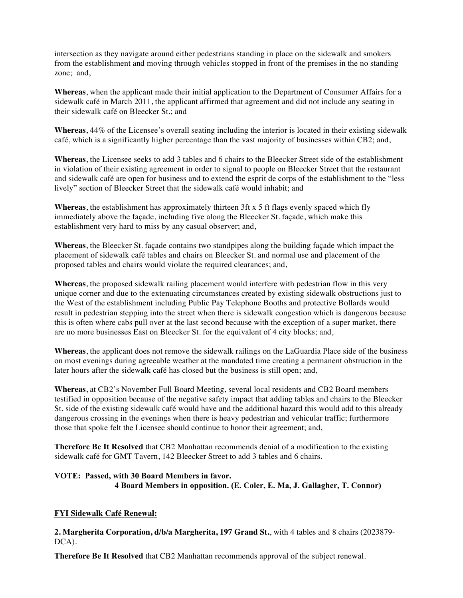intersection as they navigate around either pedestrians standing in place on the sidewalk and smokers from the establishment and moving through vehicles stopped in front of the premises in the no standing zone; and,

**Whereas**, when the applicant made their initial application to the Department of Consumer Affairs for a sidewalk café in March 2011, the applicant affirmed that agreement and did not include any seating in their sidewalk café on Bleecker St.; and

**Whereas**, 44% of the Licensee's overall seating including the interior is located in their existing sidewalk café, which is a significantly higher percentage than the vast majority of businesses within CB2; and,

**Whereas**, the Licensee seeks to add 3 tables and 6 chairs to the Bleecker Street side of the establishment in violation of their existing agreement in order to signal to people on Bleecker Street that the restaurant and sidewalk café are open for business and to extend the esprit de corps of the establishment to the "less lively" section of Bleecker Street that the sidewalk café would inhabit; and

**Whereas**, the establishment has approximately thirteen 3ft x 5 ft flags evenly spaced which fly immediately above the façade, including five along the Bleecker St. façade, which make this establishment very hard to miss by any casual observer; and,

**Whereas**, the Bleecker St. façade contains two standpipes along the building façade which impact the placement of sidewalk café tables and chairs on Bleecker St. and normal use and placement of the proposed tables and chairs would violate the required clearances; and,

**Whereas**, the proposed sidewalk railing placement would interfere with pedestrian flow in this very unique corner and due to the extenuating circumstances created by existing sidewalk obstructions just to the West of the establishment including Public Pay Telephone Booths and protective Bollards would result in pedestrian stepping into the street when there is sidewalk congestion which is dangerous because this is often where cabs pull over at the last second because with the exception of a super market, there are no more businesses East on Bleecker St. for the equivalent of 4 city blocks; and,

**Whereas**, the applicant does not remove the sidewalk railings on the LaGuardia Place side of the business on most evenings during agreeable weather at the mandated time creating a permanent obstruction in the later hours after the sidewalk café has closed but the business is still open; and,

**Whereas**, at CB2's November Full Board Meeting, several local residents and CB2 Board members testified in opposition because of the negative safety impact that adding tables and chairs to the Bleecker St. side of the existing sidewalk café would have and the additional hazard this would add to this already dangerous crossing in the evenings when there is heavy pedestrian and vehicular traffic; furthermore those that spoke felt the Licensee should continue to honor their agreement; and,

**Therefore Be It Resolved** that CB2 Manhattan recommends denial of a modification to the existing sidewalk café for GMT Tavern, 142 Bleecker Street to add 3 tables and 6 chairs.

# **VOTE: Passed, with 30 Board Members in favor. 4 Board Members in opposition. (E. Coler, E. Ma, J. Gallagher, T. Connor)**

# **FYI Sidewalk Café Renewal:**

**2. Margherita Corporation, d/b/a Margherita, 197 Grand St.**, with 4 tables and 8 chairs (2023879- DCA).

**Therefore Be It Resolved** that CB2 Manhattan recommends approval of the subject renewal.